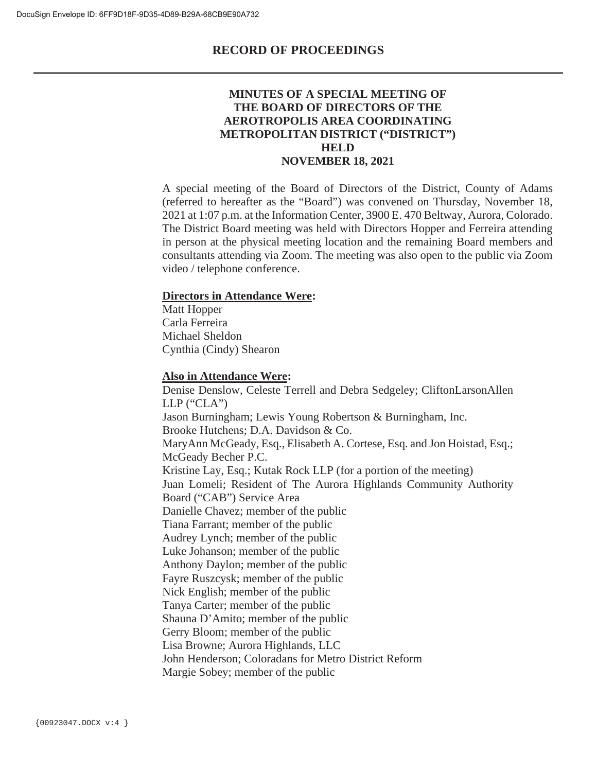### **MINUTES OF A SPECIAL MEETING OF THE BOARD OF DIRECTORS OF THE AEROTROPOLIS AREA COORDINATING METROPOLITAN DISTRICT ("DISTRICT") HELD NOVEMBER 18, 2021**

A special meeting of the Board of Directors of the District, County of Adams (referred to hereafter as the "Board") was convened on Thursday, November 18, 2021 at 1:07 p.m. at the Information Center, 3900 E. 470 Beltway, Aurora, Colorado. The District Board meeting was held with Directors Hopper and Ferreira attending in person at the physical meeting location and the remaining Board members and consultants attending via Zoom. The meeting was also open to the public via Zoom video / telephone conference.

#### **Directors in Attendance Were:**

Matt Hopper Carla Ferreira Michael Sheldon Cynthia (Cindy) Shearon

#### **Also in Attendance Were:**

Denise Denslow, Celeste Terrell and Debra Sedgeley; CliftonLarsonAllen  $LLP$  ("CLA") Jason Burningham; Lewis Young Robertson & Burningham, Inc. Brooke Hutchens; D.A. Davidson & Co. MaryAnn McGeady, Esq., Elisabeth A. Cortese, Esq. and Jon Hoistad, Esq.; McGeady Becher P.C. Kristine Lay, Esq.; Kutak Rock LLP (for a portion of the meeting) Juan Lomeli; Resident of The Aurora Highlands Community Authority Board ("CAB") Service Area Danielle Chavez; member of the public Tiana Farrant; member of the public Audrey Lynch; member of the public Luke Johanson; member of the public Anthony Daylon; member of the public Fayre Ruszcysk; member of the public Nick English; member of the public Tanya Carter; member of the public Shauna D'Amito; member of the public Gerry Bloom; member of the public Lisa Browne; Aurora Highlands, LLC John Henderson; Coloradans for Metro District Reform Margie Sobey; member of the public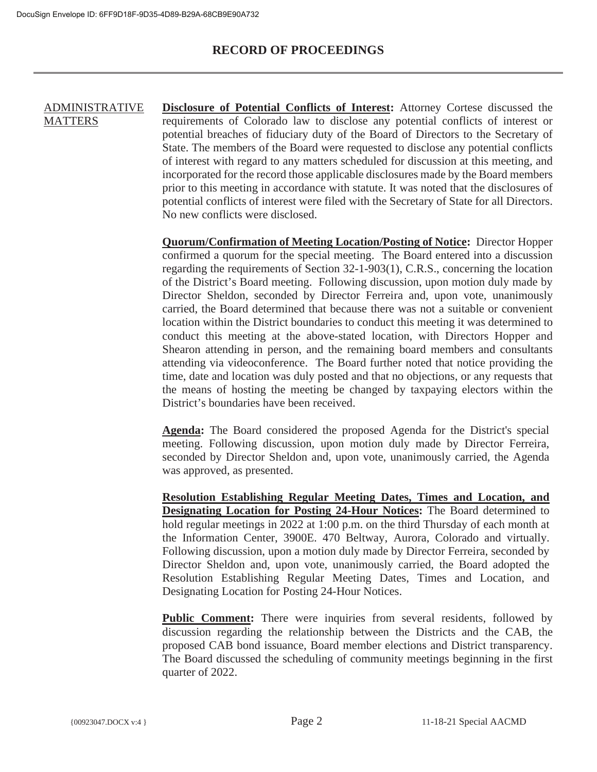#### ADMINISTRATIVE **MATTERS Disclosure of Potential Conflicts of Interest:** Attorney Cortese discussed the requirements of Colorado law to disclose any potential conflicts of interest or potential breaches of fiduciary duty of the Board of Directors to the Secretary of State. The members of the Board were requested to disclose any potential conflicts of interest with regard to any matters scheduled for discussion at this meeting, and incorporated for the record those applicable disclosures made by the Board members prior to this meeting in accordance with statute. It was noted that the disclosures of potential conflicts of interest were filed with the Secretary of State for all Directors. No new conflicts were disclosed.

**Quorum/Confirmation of Meeting Location/Posting of Notice:** Director Hopper confirmed a quorum for the special meeting. The Board entered into a discussion regarding the requirements of Section 32-1-903(1), C.R.S., concerning the location of the District's Board meeting. Following discussion, upon motion duly made by Director Sheldon, seconded by Director Ferreira and, upon vote, unanimously carried, the Board determined that because there was not a suitable or convenient location within the District boundaries to conduct this meeting it was determined to conduct this meeting at the above-stated location, with Directors Hopper and Shearon attending in person, and the remaining board members and consultants attending via videoconference. The Board further noted that notice providing the time, date and location was duly posted and that no objections, or any requests that the means of hosting the meeting be changed by taxpaying electors within the District's boundaries have been received.

**Agenda:** The Board considered the proposed Agenda for the District's special meeting. Following discussion, upon motion duly made by Director Ferreira, seconded by Director Sheldon and, upon vote, unanimously carried, the Agenda was approved, as presented.

**Resolution Establishing Regular Meeting Dates, Times and Location, and Designating Location for Posting 24-Hour Notices:** The Board determined to hold regular meetings in 2022 at 1:00 p.m. on the third Thursday of each month at the Information Center, 3900E. 470 Beltway, Aurora, Colorado and virtually. Following discussion, upon a motion duly made by Director Ferreira, seconded by Director Sheldon and, upon vote, unanimously carried, the Board adopted the Resolution Establishing Regular Meeting Dates, Times and Location, and Designating Location for Posting 24-Hour Notices.

**Public Comment:** There were inquiries from several residents, followed by discussion regarding the relationship between the Districts and the CAB, the proposed CAB bond issuance, Board member elections and District transparency. The Board discussed the scheduling of community meetings beginning in the first quarter of 2022.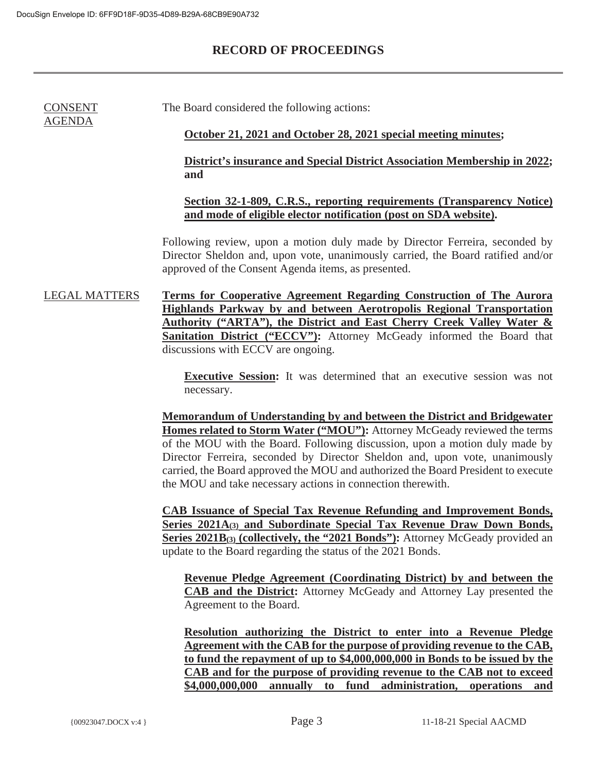CONSENT AGENDA

## **RECORD OF PROCEEDINGS**

The Board considered the following actions:

#### **October 21, 2021 and October 28, 2021 special meeting minutes;**

#### **District's insurance and Special District Association Membership in 2022; and**

### **Section 32-1-809, C.R.S., reporting requirements (Transparency Notice) and mode of eligible elector notification (post on SDA website).**

Following review, upon a motion duly made by Director Ferreira, seconded by Director Sheldon and, upon vote, unanimously carried, the Board ratified and/or approved of the Consent Agenda items, as presented.

LEGAL MATTERS **Terms for Cooperative Agreement Regarding Construction of The Aurora Highlands Parkway by and between Aerotropolis Regional Transportation Authority ("ARTA"), the District and East Cherry Creek Valley Water &** Sanitation District ("ECCV"): Attorney McGeady informed the Board that discussions with ECCV are ongoing.

> **Executive Session:** It was determined that an executive session was not necessary.

**Memorandum of Understanding by and between the District and Bridgewater Homes related to Storm Water ("MOU"):** Attorney McGeady reviewed the terms of the MOU with the Board. Following discussion, upon a motion duly made by Director Ferreira, seconded by Director Sheldon and, upon vote, unanimously carried, the Board approved the MOU and authorized the Board President to execute the MOU and take necessary actions in connection therewith.

**CAB Issuance of Special Tax Revenue Refunding and Improvement Bonds, Series 2021A(3) and Subordinate Special Tax Revenue Draw Down Bonds, Series 2021B**(3) **(collectively, the "2021 Bonds"):** Attorney McGeady provided an update to the Board regarding the status of the 2021 Bonds.

**Revenue Pledge Agreement (Coordinating District) by and between the CAB and the District:** Attorney McGeady and Attorney Lay presented the Agreement to the Board.

**Resolution authorizing the District to enter into a Revenue Pledge Agreement with the CAB for the purpose of providing revenue to the CAB, to fund the repayment of up to \$4,000,000,000 in Bonds to be issued by the CAB and for the purpose of providing revenue to the CAB not to exceed \$4,000,000,000 annually to fund administration, operations and**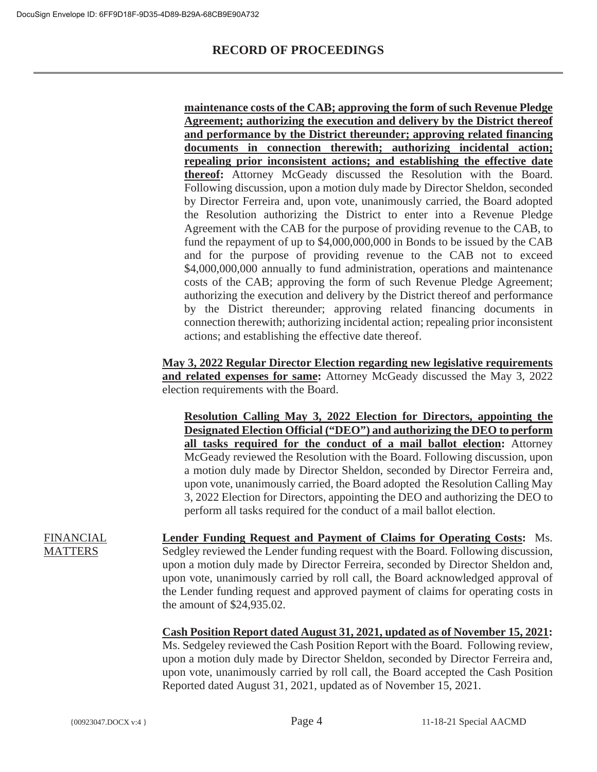**maintenance costs of the CAB; approving the form of such Revenue Pledge Agreement; authorizing the execution and delivery by the District thereof and performance by the District thereunder; approving related financing documents in connection therewith; authorizing incidental action; repealing prior inconsistent actions; and establishing the effective date thereof:** Attorney McGeady discussed the Resolution with the Board. Following discussion, upon a motion duly made by Director Sheldon, seconded by Director Ferreira and, upon vote, unanimously carried, the Board adopted the Resolution authorizing the District to enter into a Revenue Pledge Agreement with the CAB for the purpose of providing revenue to the CAB, to fund the repayment of up to \$4,000,000,000 in Bonds to be issued by the CAB and for the purpose of providing revenue to the CAB not to exceed \$4,000,000,000 annually to fund administration, operations and maintenance costs of the CAB; approving the form of such Revenue Pledge Agreement; authorizing the execution and delivery by the District thereof and performance by the District thereunder; approving related financing documents in connection therewith; authorizing incidental action; repealing prior inconsistent actions; and establishing the effective date thereof.

**May 3, 2022 Regular Director Election regarding new legislative requirements and related expenses for same:** Attorney McGeady discussed the May 3, 2022 election requirements with the Board.

**Resolution Calling May 3, 2022 Election for Directors, appointing the Designated Election Official ("DEO") and authorizing the DEO to perform all tasks required for the conduct of a mail ballot election:** Attorney McGeady reviewed the Resolution with the Board. Following discussion, upon a motion duly made by Director Sheldon, seconded by Director Ferreira and, upon vote, unanimously carried, the Board adopted the Resolution Calling May 3, 2022 Election for Directors, appointing the DEO and authorizing the DEO to perform all tasks required for the conduct of a mail ballot election.

FINANCIAL **MATTERS** 

**Lender Funding Request and Payment of Claims for Operating Costs:** Ms. Sedgley reviewed the Lender funding request with the Board. Following discussion, upon a motion duly made by Director Ferreira, seconded by Director Sheldon and, upon vote, unanimously carried by roll call, the Board acknowledged approval of the Lender funding request and approved payment of claims for operating costs in the amount of \$24,935.02.

**Cash Position Report dated August 31, 2021, updated as of November 15, 2021:**

Ms. Sedgeley reviewed the Cash Position Report with the Board. Following review, upon a motion duly made by Director Sheldon, seconded by Director Ferreira and, upon vote, unanimously carried by roll call, the Board accepted the Cash Position Reported dated August 31, 2021, updated as of November 15, 2021.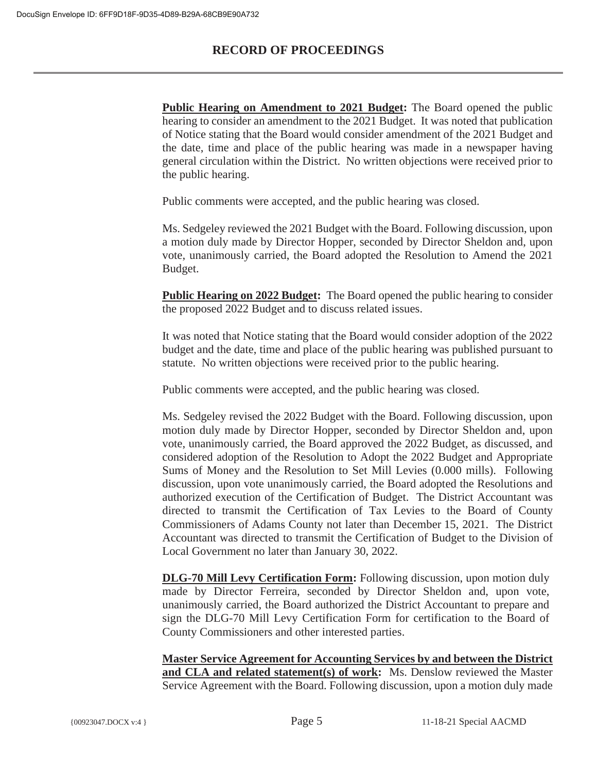**Public Hearing on Amendment to 2021 Budget:** The Board opened the public hearing to consider an amendment to the 2021 Budget. It was noted that publication of Notice stating that the Board would consider amendment of the 2021 Budget and the date, time and place of the public hearing was made in a newspaper having general circulation within the District. No written objections were received prior to the public hearing.

Public comments were accepted, and the public hearing was closed.

Ms. Sedgeley reviewed the 2021 Budget with the Board. Following discussion, upon a motion duly made by Director Hopper, seconded by Director Sheldon and, upon vote, unanimously carried, the Board adopted the Resolution to Amend the 2021 Budget.

**Public Hearing on 2022 Budget:** The Board opened the public hearing to consider the proposed 2022 Budget and to discuss related issues.

It was noted that Notice stating that the Board would consider adoption of the 2022 budget and the date, time and place of the public hearing was published pursuant to statute. No written objections were received prior to the public hearing.

Public comments were accepted, and the public hearing was closed.

Ms. Sedgeley revised the 2022 Budget with the Board. Following discussion, upon motion duly made by Director Hopper, seconded by Director Sheldon and, upon vote, unanimously carried, the Board approved the 2022 Budget, as discussed, and considered adoption of the Resolution to Adopt the 2022 Budget and Appropriate Sums of Money and the Resolution to Set Mill Levies (0.000 mills). Following discussion, upon vote unanimously carried, the Board adopted the Resolutions and authorized execution of the Certification of Budget. The District Accountant was directed to transmit the Certification of Tax Levies to the Board of County Commissioners of Adams County not later than December 15, 2021. The District Accountant was directed to transmit the Certification of Budget to the Division of Local Government no later than January 30, 2022.

**DLG-70 Mill Levy Certification Form:** Following discussion, upon motion duly made by Director Ferreira, seconded by Director Sheldon and, upon vote, unanimously carried, the Board authorized the District Accountant to prepare and sign the DLG-70 Mill Levy Certification Form for certification to the Board of County Commissioners and other interested parties.

**Master Service Agreement for Accounting Services by and between the District and CLA and related statement(s) of work:** Ms. Denslow reviewed the Master Service Agreement with the Board. Following discussion, upon a motion duly made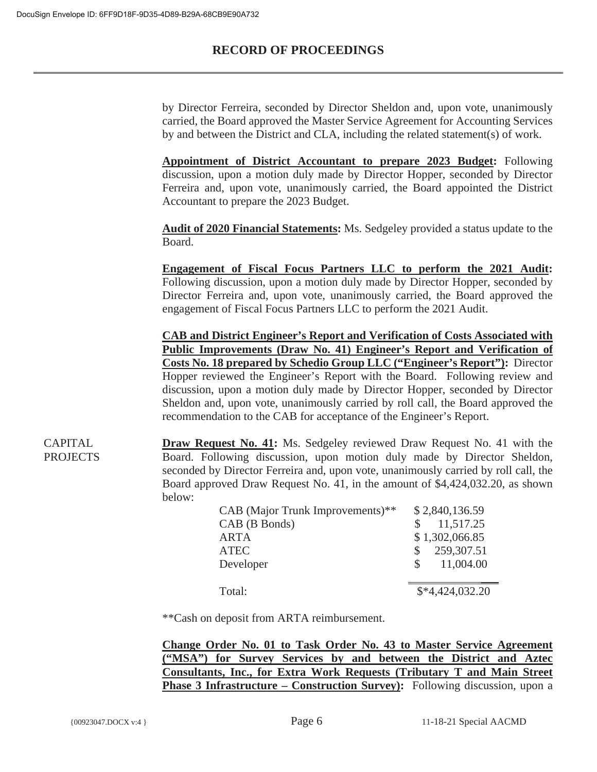by Director Ferreira, seconded by Director Sheldon and, upon vote, unanimously carried, the Board approved the Master Service Agreement for Accounting Services by and between the District and CLA, including the related statement(s) of work.

**Appointment of District Accountant to prepare 2023 Budget:** Following discussion, upon a motion duly made by Director Hopper, seconded by Director Ferreira and, upon vote, unanimously carried, the Board appointed the District Accountant to prepare the 2023 Budget.

**Audit of 2020 Financial Statements:** Ms. Sedgeley provided a status update to the Board.

**Engagement of Fiscal Focus Partners LLC to perform the 2021 Audit:** Following discussion, upon a motion duly made by Director Hopper, seconded by Director Ferreira and, upon vote, unanimously carried, the Board approved the engagement of Fiscal Focus Partners LLC to perform the 2021 Audit.

**CAB and District Engineer's Report and Verification of Costs Associated with Public Improvements (Draw No. 41) Engineer's Report and Verification of Costs No. 18 prepared by Schedio Group LLC ("Engineer's Report"):** Director Hopper reviewed the Engineer's Report with the Board. Following review and discussion, upon a motion duly made by Director Hopper, seconded by Director Sheldon and, upon vote, unanimously carried by roll call, the Board approved the recommendation to the CAB for acceptance of the Engineer's Report.

CAPITAL PROJECTS **Draw Request No. 41:** Ms. Sedgeley reviewed Draw Request No. 41 with the Board. Following discussion, upon motion duly made by Director Sheldon, seconded by Director Ferreira and, upon vote, unanimously carried by roll call, the Board approved Draw Request No. 41, in the amount of \$4,424,032.20, as shown below:

| CAB (Major Trunk Improvements)** | \$2,840,136.59            |
|----------------------------------|---------------------------|
| CAB (B Bonds)                    | 11,517.25                 |
| <b>ARTA</b>                      | \$1,302,066.85            |
| <b>ATEC</b>                      | 259,307.51<br>S.          |
| Developer                        | 11,004.00<br>$\mathbb{S}$ |
|                                  |                           |
| Total:                           | $$*4,424,032.20$          |
|                                  |                           |

\*\*Cash on deposit from ARTA reimbursement.

**Change Order No. 01 to Task Order No. 43 to Master Service Agreement ("MSA") for Survey Services by and between the District and Aztec Consultants, Inc., for Extra Work Requests (Tributary T and Main Street Phase 3 Infrastructure – Construction Survey**): Following discussion, upon a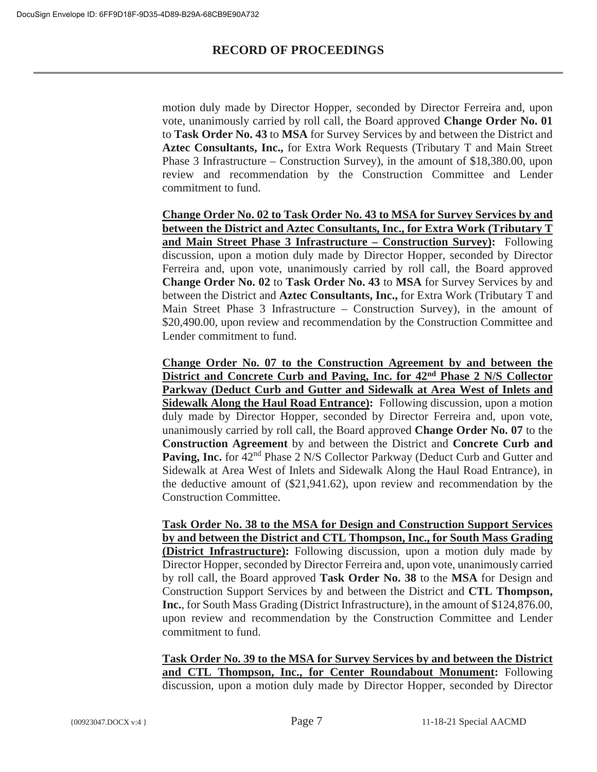motion duly made by Director Hopper, seconded by Director Ferreira and, upon vote, unanimously carried by roll call, the Board approved **Change Order No. 01** to **Task Order No. 43** to **MSA** for Survey Services by and between the District and **Aztec Consultants, Inc.,** for Extra Work Requests (Tributary T and Main Street Phase 3 Infrastructure – Construction Survey), in the amount of \$18,380.00, upon review and recommendation by the Construction Committee and Lender commitment to fund.

**Change Order No. 02 to Task Order No. 43 to MSA for Survey Services by and between the District and Aztec Consultants, Inc., for Extra Work (Tributary T and Main Street Phase 3 Infrastructure – Construction Survey):** Following discussion, upon a motion duly made by Director Hopper, seconded by Director Ferreira and, upon vote, unanimously carried by roll call, the Board approved **Change Order No. 02** to **Task Order No. 43** to **MSA** for Survey Services by and between the District and **Aztec Consultants, Inc.,** for Extra Work (Tributary T and Main Street Phase 3 Infrastructure – Construction Survey), in the amount of \$20,490.00, upon review and recommendation by the Construction Committee and Lender commitment to fund.

**Change Order No. 07 to the Construction Agreement by and between the District and Concrete Curb and Paving, Inc. for 42nd Phase 2 N/S Collector Parkway (Deduct Curb and Gutter and Sidewalk at Area West of Inlets and Sidewalk Along the Haul Road Entrance):** Following discussion, upon a motion duly made by Director Hopper, seconded by Director Ferreira and, upon vote, unanimously carried by roll call, the Board approved **Change Order No. 07** to the **Construction Agreement** by and between the District and **Concrete Curb and Paving, Inc.** for 42<sup>nd</sup> Phase 2 N/S Collector Parkway (Deduct Curb and Gutter and Sidewalk at Area West of Inlets and Sidewalk Along the Haul Road Entrance), in the deductive amount of (\$21,941.62), upon review and recommendation by the Construction Committee.

**Task Order No. 38 to the MSA for Design and Construction Support Services by and between the District and CTL Thompson, Inc., for South Mass Grading (District Infrastructure):** Following discussion, upon a motion duly made by Director Hopper, seconded by Director Ferreira and, upon vote, unanimously carried by roll call, the Board approved **Task Order No. 38** to the **MSA** for Design and Construction Support Services by and between the District and **CTL Thompson, Inc.**, for South Mass Grading (District Infrastructure), in the amount of \$124,876.00, upon review and recommendation by the Construction Committee and Lender commitment to fund.

**Task Order No. 39 to the MSA for Survey Services by and between the District and CTL Thompson, Inc., for Center Roundabout Monument:** Following discussion, upon a motion duly made by Director Hopper, seconded by Director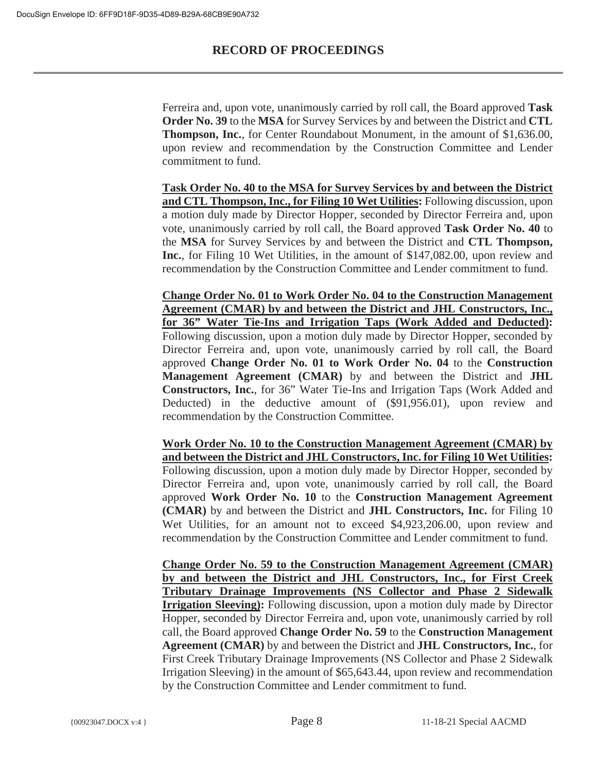Ferreira and, upon vote, unanimously carried by roll call, the Board approved **Task Order No. 39** to the **MSA** for Survey Services by and between the District and **CTL Thompson, Inc.**, for Center Roundabout Monument, in the amount of \$1,636.00, upon review and recommendation by the Construction Committee and Lender commitment to fund.

**Task Order No. 40 to the MSA for Survey Services by and between the District and CTL Thompson, Inc., for Filing 10 Wet Utilities:** Following discussion, upon a motion duly made by Director Hopper, seconded by Director Ferreira and, upon vote, unanimously carried by roll call, the Board approved **Task Order No. 40** to the **MSA** for Survey Services by and between the District and **CTL Thompson, Inc.**, for Filing 10 Wet Utilities, in the amount of \$147,082.00, upon review and recommendation by the Construction Committee and Lender commitment to fund.

**Change Order No. 01 to Work Order No. 04 to the Construction Management Agreement (CMAR) by and between the District and JHL Constructors, Inc., for 36" Water Tie-Ins and Irrigation Taps (Work Added and Deducted):** Following discussion, upon a motion duly made by Director Hopper, seconded by Director Ferreira and, upon vote, unanimously carried by roll call, the Board approved **Change Order No. 01 to Work Order No. 04** to the **Construction Management Agreement (CMAR)** by and between the District and **JHL Constructors, Inc.**, for 36" Water Tie-Ins and Irrigation Taps (Work Added and Deducted) in the deductive amount of (\$91,956.01), upon review and recommendation by the Construction Committee.

**Work Order No. 10 to the Construction Management Agreement (CMAR) by and between the District and JHL Constructors, Inc. for Filing 10 Wet Utilities:** Following discussion, upon a motion duly made by Director Hopper, seconded by Director Ferreira and, upon vote, unanimously carried by roll call, the Board approved **Work Order No. 10** to the **Construction Management Agreement (CMAR)** by and between the District and **JHL Constructors, Inc.** for Filing 10 Wet Utilities, for an amount not to exceed \$4,923,206.00, upon review and recommendation by the Construction Committee and Lender commitment to fund.

**Change Order No. 59 to the Construction Management Agreement (CMAR) by and between the District and JHL Constructors, Inc., for First Creek Tributary Drainage Improvements (NS Collector and Phase 2 Sidewalk Irrigation Sleeving):** Following discussion, upon a motion duly made by Director Hopper, seconded by Director Ferreira and, upon vote, unanimously carried by roll call, the Board approved **Change Order No. 59** to the **Construction Management Agreement (CMAR)** by and between the District and **JHL Constructors, Inc.**, for First Creek Tributary Drainage Improvements (NS Collector and Phase 2 Sidewalk Irrigation Sleeving) in the amount of \$65,643.44, upon review and recommendation by the Construction Committee and Lender commitment to fund.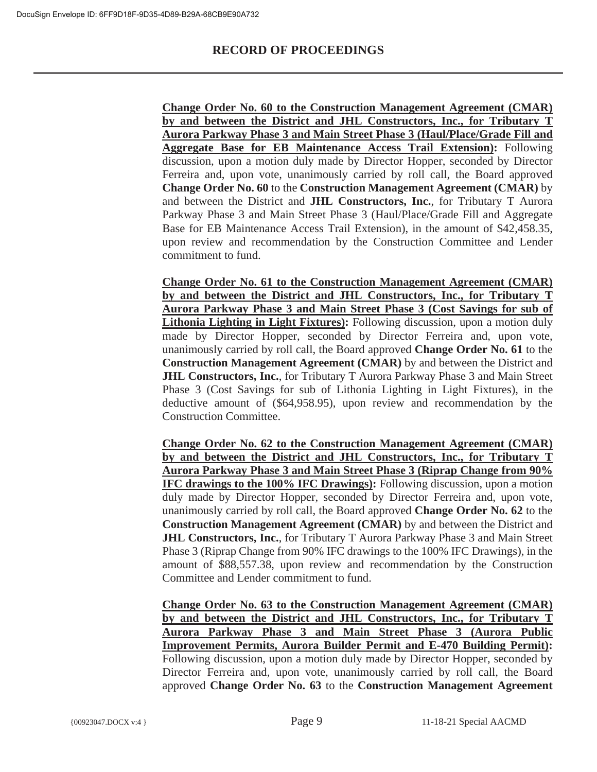**Change Order No. 60 to the Construction Management Agreement (CMAR) by and between the District and JHL Constructors, Inc., for Tributary T Aurora Parkway Phase 3 and Main Street Phase 3 (Haul/Place/Grade Fill and Aggregate Base for EB Maintenance Access Trail Extension):** Following discussion, upon a motion duly made by Director Hopper, seconded by Director Ferreira and, upon vote, unanimously carried by roll call, the Board approved **Change Order No. 60** to the **Construction Management Agreement (CMAR)** by and between the District and **JHL Constructors, Inc.**, for Tributary T Aurora Parkway Phase 3 and Main Street Phase 3 (Haul/Place/Grade Fill and Aggregate Base for EB Maintenance Access Trail Extension), in the amount of \$42,458.35, upon review and recommendation by the Construction Committee and Lender commitment to fund.

**Change Order No. 61 to the Construction Management Agreement (CMAR) by and between the District and JHL Constructors, Inc., for Tributary T Aurora Parkway Phase 3 and Main Street Phase 3 (Cost Savings for sub of Lithonia Lighting in Light Fixtures):** Following discussion, upon a motion duly made by Director Hopper, seconded by Director Ferreira and, upon vote, unanimously carried by roll call, the Board approved **Change Order No. 61** to the **Construction Management Agreement (CMAR)** by and between the District and **JHL Constructors, Inc.**, for Tributary T Aurora Parkway Phase 3 and Main Street Phase 3 (Cost Savings for sub of Lithonia Lighting in Light Fixtures), in the deductive amount of (\$64,958.95), upon review and recommendation by the Construction Committee.

**Change Order No. 62 to the Construction Management Agreement (CMAR) by and between the District and JHL Constructors, Inc., for Tributary T Aurora Parkway Phase 3 and Main Street Phase 3 (Riprap Change from 90% IFC drawings to the 100% IFC Drawings):** Following discussion, upon a motion duly made by Director Hopper, seconded by Director Ferreira and, upon vote, unanimously carried by roll call, the Board approved **Change Order No. 62** to the **Construction Management Agreement (CMAR)** by and between the District and **JHL Constructors, Inc.**, for Tributary T Aurora Parkway Phase 3 and Main Street Phase 3 (Riprap Change from 90% IFC drawings to the 100% IFC Drawings), in the amount of \$88,557.38, upon review and recommendation by the Construction Committee and Lender commitment to fund.

**Change Order No. 63 to the Construction Management Agreement (CMAR) by and between the District and JHL Constructors, Inc., for Tributary T Aurora Parkway Phase 3 and Main Street Phase 3 (Aurora Public Improvement Permits, Aurora Builder Permit and E-470 Building Permit):** Following discussion, upon a motion duly made by Director Hopper, seconded by Director Ferreira and, upon vote, unanimously carried by roll call, the Board approved **Change Order No. 63** to the **Construction Management Agreement**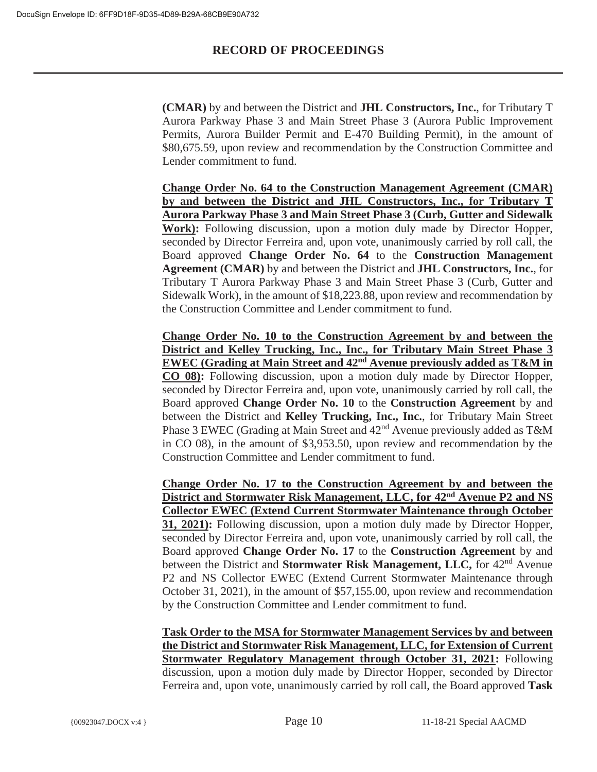**(CMAR)** by and between the District and **JHL Constructors, Inc.**, for Tributary T Aurora Parkway Phase 3 and Main Street Phase 3 (Aurora Public Improvement Permits, Aurora Builder Permit and E-470 Building Permit), in the amount of \$80,675.59, upon review and recommendation by the Construction Committee and Lender commitment to fund.

**Change Order No. 64 to the Construction Management Agreement (CMAR) by and between the District and JHL Constructors, Inc., for Tributary T Aurora Parkway Phase 3 and Main Street Phase 3 (Curb, Gutter and Sidewalk Work):** Following discussion, upon a motion duly made by Director Hopper, seconded by Director Ferreira and, upon vote, unanimously carried by roll call, the Board approved **Change Order No. 64** to the **Construction Management Agreement (CMAR)** by and between the District and **JHL Constructors, Inc.**, for Tributary T Aurora Parkway Phase 3 and Main Street Phase 3 (Curb, Gutter and Sidewalk Work), in the amount of \$18,223.88, upon review and recommendation by the Construction Committee and Lender commitment to fund.

**Change Order No. 10 to the Construction Agreement by and between the District and Kelley Trucking, Inc., Inc., for Tributary Main Street Phase 3 EWEC (Grading at Main Street and 42nd Avenue previously added as T&M in CO 08):** Following discussion, upon a motion duly made by Director Hopper, seconded by Director Ferreira and, upon vote, unanimously carried by roll call, the Board approved **Change Order No. 10** to the **Construction Agreement** by and between the District and **Kelley Trucking, Inc., Inc.**, for Tributary Main Street Phase 3 EWEC (Grading at Main Street and  $42<sup>nd</sup>$  Avenue previously added as T&M in CO 08), in the amount of \$3,953.50, upon review and recommendation by the Construction Committee and Lender commitment to fund.

**Change Order No. 17 to the Construction Agreement by and between the District and Stormwater Risk Management, LLC, for 42nd Avenue P2 and NS Collector EWEC (Extend Current Stormwater Maintenance through October 31, 2021):** Following discussion, upon a motion duly made by Director Hopper, seconded by Director Ferreira and, upon vote, unanimously carried by roll call, the Board approved **Change Order No. 17** to the **Construction Agreement** by and between the District and **Stormwater Risk Management, LLC,** for 42nd Avenue P2 and NS Collector EWEC (Extend Current Stormwater Maintenance through October 31, 2021), in the amount of \$57,155.00, upon review and recommendation by the Construction Committee and Lender commitment to fund.

**Task Order to the MSA for Stormwater Management Services by and between the District and Stormwater Risk Management, LLC, for Extension of Current Stormwater Regulatory Management through October 31, 2021:** Following discussion, upon a motion duly made by Director Hopper, seconded by Director Ferreira and, upon vote, unanimously carried by roll call, the Board approved **Task**